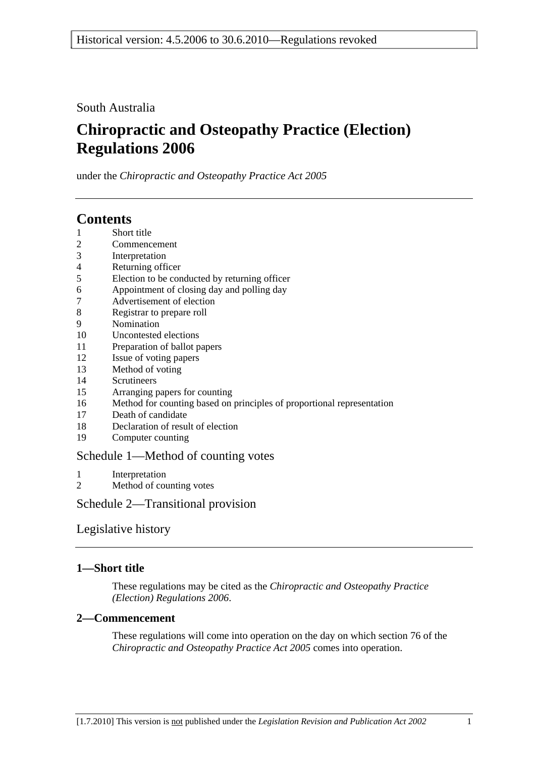South Australia

# **Chiropractic and Osteopathy Practice (Election) Regulations 2006**

under the *Chiropractic and Osteopathy Practice Act 2005*

# **Contents**

- 1 Short title
- 2 Commencement
- 3 Interpretation
- 4 Returning officer
- 5 Election to be conducted by returning officer
- 6 Appointment of closing day and polling day
- 7 Advertisement of election
- 8 Registrar to prepare roll
- 9 Nomination
- 10 Uncontested elections
- 11 Preparation of ballot papers
- 12 Issue of voting papers
- 13 Method of voting
- 14 Scrutineers
- 15 Arranging papers for counting
- 16 Method for counting based on principles of proportional representation
- 17 Death of candidate
- 18 Declaration of result of election
- 19 Computer counting

## Schedule 1—Method of counting votes

- 1 Interpretation
- 2 Method of counting votes

Schedule 2—Transitional provision

## Legislative history

## **1—Short title**

These regulations may be cited as the *Chiropractic and Osteopathy Practice (Election) Regulations 2006*.

## **2—Commencement**

These regulations will come into operation on the day on which section 76 of the *Chiropractic and Osteopathy Practice Act 2005* comes into operation.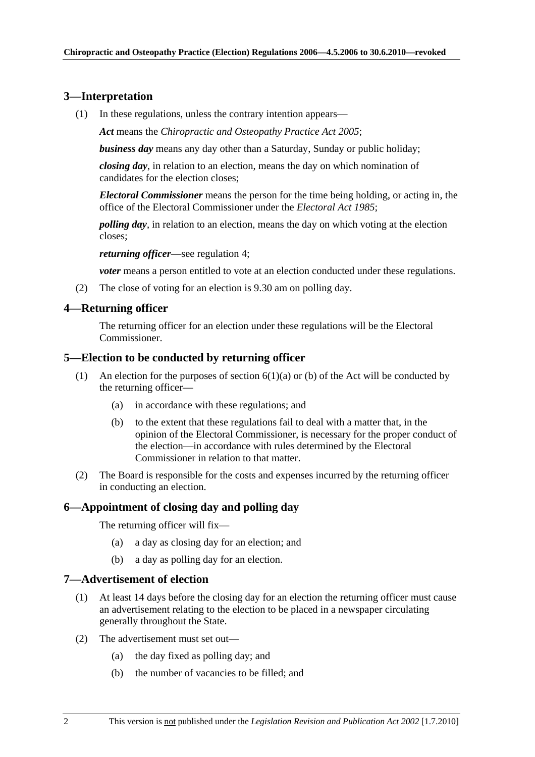### **3—Interpretation**

(1) In these regulations, unless the contrary intention appears—

*Act* means the *Chiropractic and Osteopathy Practice Act 2005*;

*business day* means any day other than a Saturday, Sunday or public holiday;

*closing day*, in relation to an election, means the day on which nomination of candidates for the election closes;

*Electoral Commissioner* means the person for the time being holding, or acting in, the office of the Electoral Commissioner under the *Electoral Act 1985*;

*polling day*, in relation to an election, means the day on which voting at the election closes;

*returning officer*—see regulation 4;

*voter* means a person entitled to vote at an election conducted under these regulations.

(2) The close of voting for an election is 9.30 am on polling day.

#### **4—Returning officer**

The returning officer for an election under these regulations will be the Electoral Commissioner.

#### **5—Election to be conducted by returning officer**

- (1) An election for the purposes of section  $6(1)(a)$  or (b) of the Act will be conducted by the returning officer—
	- (a) in accordance with these regulations; and
	- (b) to the extent that these regulations fail to deal with a matter that, in the opinion of the Electoral Commissioner, is necessary for the proper conduct of the election—in accordance with rules determined by the Electoral Commissioner in relation to that matter.
- (2) The Board is responsible for the costs and expenses incurred by the returning officer in conducting an election.

### **6—Appointment of closing day and polling day**

The returning officer will fix—

- (a) a day as closing day for an election; and
- (b) a day as polling day for an election.

#### **7—Advertisement of election**

- (1) At least 14 days before the closing day for an election the returning officer must cause an advertisement relating to the election to be placed in a newspaper circulating generally throughout the State.
- (2) The advertisement must set out—
	- (a) the day fixed as polling day; and
	- (b) the number of vacancies to be filled; and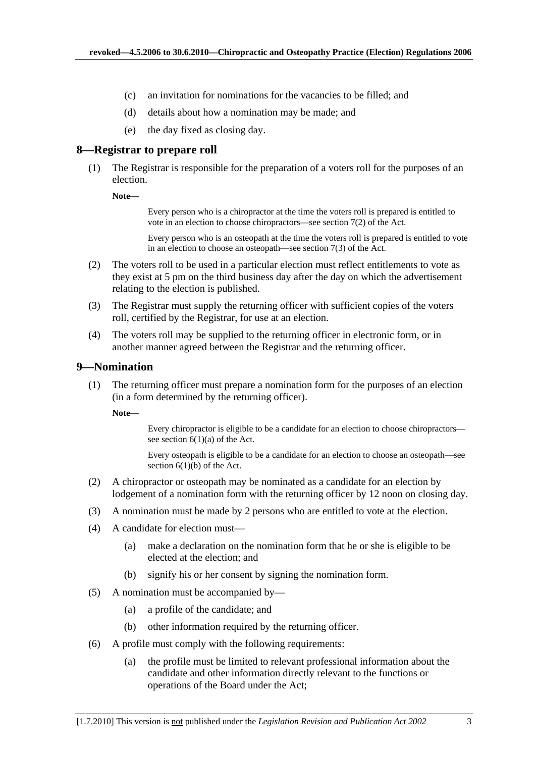- (c) an invitation for nominations for the vacancies to be filled; and
- (d) details about how a nomination may be made; and
- (e) the day fixed as closing day.

#### **8—Registrar to prepare roll**

 (1) The Registrar is responsible for the preparation of a voters roll for the purposes of an election.

**Note—** 

Every person who is a chiropractor at the time the voters roll is prepared is entitled to vote in an election to choose chiropractors—see section 7(2) of the Act.

Every person who is an osteopath at the time the voters roll is prepared is entitled to vote in an election to choose an osteopath—see section 7(3) of the Act.

- (2) The voters roll to be used in a particular election must reflect entitlements to vote as they exist at 5 pm on the third business day after the day on which the advertisement relating to the election is published.
- (3) The Registrar must supply the returning officer with sufficient copies of the voters roll, certified by the Registrar, for use at an election.
- (4) The voters roll may be supplied to the returning officer in electronic form, or in another manner agreed between the Registrar and the returning officer.

#### **9—Nomination**

 (1) The returning officer must prepare a nomination form for the purposes of an election (in a form determined by the returning officer).

**Note—** 

Every chiropractor is eligible to be a candidate for an election to choose chiropractors see section  $6(1)(a)$  of the Act.

Every osteopath is eligible to be a candidate for an election to choose an osteopath—see section  $6(1)(b)$  of the Act.

- (2) A chiropractor or osteopath may be nominated as a candidate for an election by lodgement of a nomination form with the returning officer by 12 noon on closing day.
- (3) A nomination must be made by 2 persons who are entitled to vote at the election.
- (4) A candidate for election must—
	- (a) make a declaration on the nomination form that he or she is eligible to be elected at the election; and
	- (b) signify his or her consent by signing the nomination form.
- (5) A nomination must be accompanied by—
	- (a) a profile of the candidate; and
	- (b) other information required by the returning officer.
- (6) A profile must comply with the following requirements:
	- (a) the profile must be limited to relevant professional information about the candidate and other information directly relevant to the functions or operations of the Board under the Act;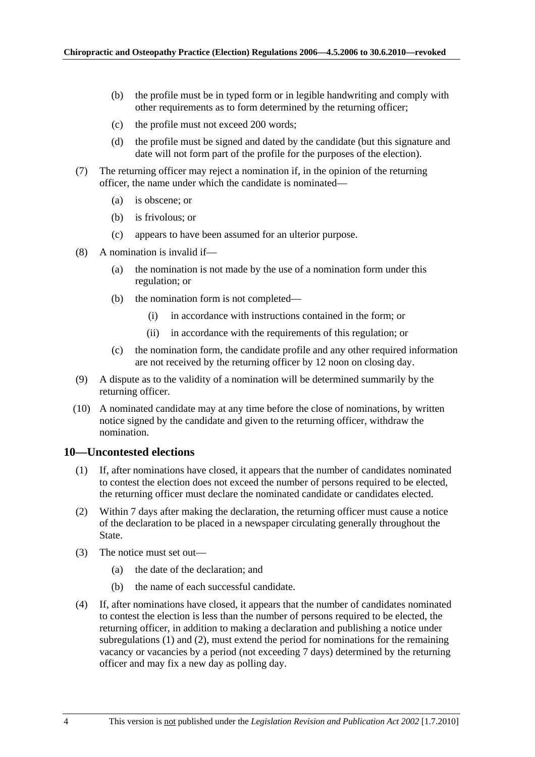- (b) the profile must be in typed form or in legible handwriting and comply with other requirements as to form determined by the returning officer;
- (c) the profile must not exceed 200 words;
- (d) the profile must be signed and dated by the candidate (but this signature and date will not form part of the profile for the purposes of the election).
- (7) The returning officer may reject a nomination if, in the opinion of the returning officer, the name under which the candidate is nominated—
	- (a) is obscene; or
	- (b) is frivolous; or
	- (c) appears to have been assumed for an ulterior purpose.
- (8) A nomination is invalid if—
	- (a) the nomination is not made by the use of a nomination form under this regulation; or
	- (b) the nomination form is not completed—
		- (i) in accordance with instructions contained in the form; or
		- (ii) in accordance with the requirements of this regulation; or
	- (c) the nomination form, the candidate profile and any other required information are not received by the returning officer by 12 noon on closing day.
- (9) A dispute as to the validity of a nomination will be determined summarily by the returning officer.
- (10) A nominated candidate may at any time before the close of nominations, by written notice signed by the candidate and given to the returning officer, withdraw the nomination.

#### **10—Uncontested elections**

- (1) If, after nominations have closed, it appears that the number of candidates nominated to contest the election does not exceed the number of persons required to be elected, the returning officer must declare the nominated candidate or candidates elected.
- (2) Within 7 days after making the declaration, the returning officer must cause a notice of the declaration to be placed in a newspaper circulating generally throughout the State.
- (3) The notice must set out—
	- (a) the date of the declaration; and
	- (b) the name of each successful candidate.
- (4) If, after nominations have closed, it appears that the number of candidates nominated to contest the election is less than the number of persons required to be elected, the returning officer, in addition to making a declaration and publishing a notice under subregulations (1) and (2), must extend the period for nominations for the remaining vacancy or vacancies by a period (not exceeding 7 days) determined by the returning officer and may fix a new day as polling day.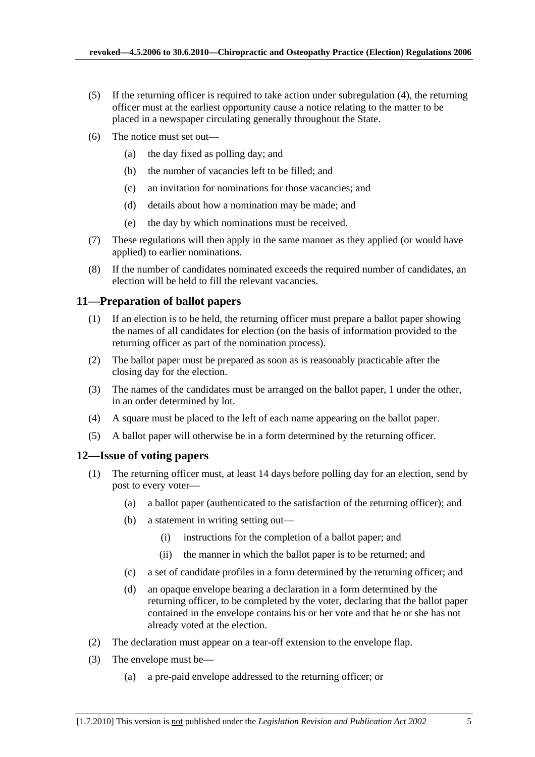- (5) If the returning officer is required to take action under subregulation (4), the returning officer must at the earliest opportunity cause a notice relating to the matter to be placed in a newspaper circulating generally throughout the State.
- (6) The notice must set out—
	- (a) the day fixed as polling day; and
	- (b) the number of vacancies left to be filled; and
	- (c) an invitation for nominations for those vacancies; and
	- (d) details about how a nomination may be made; and
	- (e) the day by which nominations must be received.
- (7) These regulations will then apply in the same manner as they applied (or would have applied) to earlier nominations.
- (8) If the number of candidates nominated exceeds the required number of candidates, an election will be held to fill the relevant vacancies.

## **11—Preparation of ballot papers**

- (1) If an election is to be held, the returning officer must prepare a ballot paper showing the names of all candidates for election (on the basis of information provided to the returning officer as part of the nomination process).
- (2) The ballot paper must be prepared as soon as is reasonably practicable after the closing day for the election.
- (3) The names of the candidates must be arranged on the ballot paper, 1 under the other, in an order determined by lot.
- (4) A square must be placed to the left of each name appearing on the ballot paper.
- (5) A ballot paper will otherwise be in a form determined by the returning officer.

## **12—Issue of voting papers**

- (1) The returning officer must, at least 14 days before polling day for an election, send by post to every voter—
	- (a) a ballot paper (authenticated to the satisfaction of the returning officer); and
	- (b) a statement in writing setting out—
		- (i) instructions for the completion of a ballot paper; and
		- (ii) the manner in which the ballot paper is to be returned; and
	- (c) a set of candidate profiles in a form determined by the returning officer; and
	- (d) an opaque envelope bearing a declaration in a form determined by the returning officer, to be completed by the voter, declaring that the ballot paper contained in the envelope contains his or her vote and that he or she has not already voted at the election.
- (2) The declaration must appear on a tear-off extension to the envelope flap.
- (3) The envelope must be—
	- (a) a pre-paid envelope addressed to the returning officer; or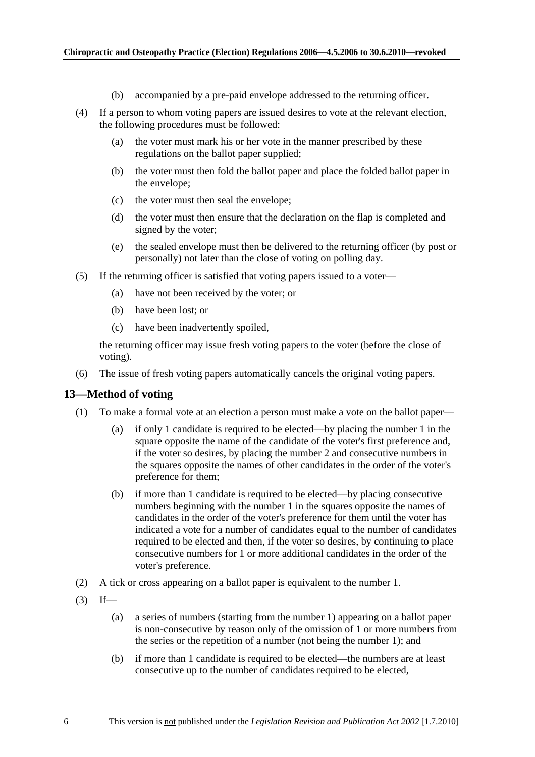- (b) accompanied by a pre-paid envelope addressed to the returning officer.
- (4) If a person to whom voting papers are issued desires to vote at the relevant election, the following procedures must be followed:
	- (a) the voter must mark his or her vote in the manner prescribed by these regulations on the ballot paper supplied;
	- (b) the voter must then fold the ballot paper and place the folded ballot paper in the envelope;
	- (c) the voter must then seal the envelope;
	- (d) the voter must then ensure that the declaration on the flap is completed and signed by the voter;
	- (e) the sealed envelope must then be delivered to the returning officer (by post or personally) not later than the close of voting on polling day.
- (5) If the returning officer is satisfied that voting papers issued to a voter—
	- (a) have not been received by the voter; or
	- (b) have been lost; or
	- (c) have been inadvertently spoiled,

the returning officer may issue fresh voting papers to the voter (before the close of voting).

(6) The issue of fresh voting papers automatically cancels the original voting papers.

#### **13—Method of voting**

- (1) To make a formal vote at an election a person must make a vote on the ballot paper—
	- (a) if only 1 candidate is required to be elected—by placing the number 1 in the square opposite the name of the candidate of the voter's first preference and, if the voter so desires, by placing the number 2 and consecutive numbers in the squares opposite the names of other candidates in the order of the voter's preference for them;
	- (b) if more than 1 candidate is required to be elected—by placing consecutive numbers beginning with the number 1 in the squares opposite the names of candidates in the order of the voter's preference for them until the voter has indicated a vote for a number of candidates equal to the number of candidates required to be elected and then, if the voter so desires, by continuing to place consecutive numbers for 1 or more additional candidates in the order of the voter's preference.
- (2) A tick or cross appearing on a ballot paper is equivalent to the number 1.
- $(3)$  If—
	- (a) a series of numbers (starting from the number 1) appearing on a ballot paper is non-consecutive by reason only of the omission of 1 or more numbers from the series or the repetition of a number (not being the number 1); and
	- (b) if more than 1 candidate is required to be elected—the numbers are at least consecutive up to the number of candidates required to be elected,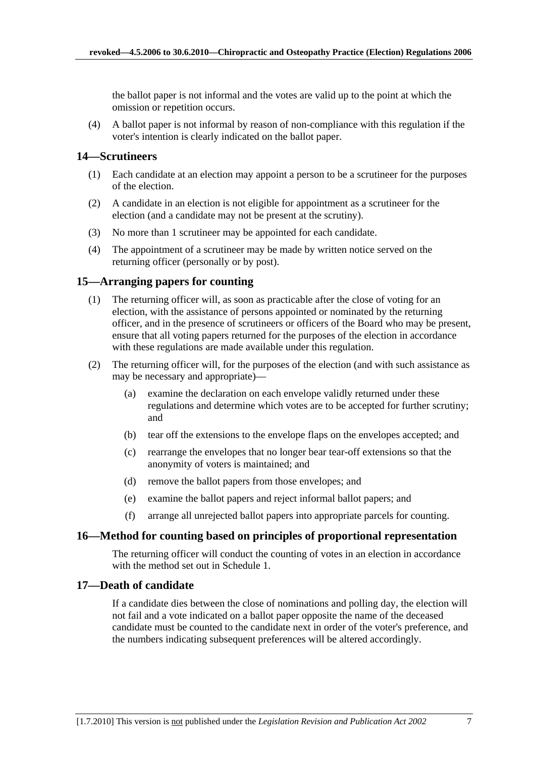the ballot paper is not informal and the votes are valid up to the point at which the omission or repetition occurs.

 (4) A ballot paper is not informal by reason of non-compliance with this regulation if the voter's intention is clearly indicated on the ballot paper.

## **14—Scrutineers**

- (1) Each candidate at an election may appoint a person to be a scrutineer for the purposes of the election.
- (2) A candidate in an election is not eligible for appointment as a scrutineer for the election (and a candidate may not be present at the scrutiny).
- (3) No more than 1 scrutineer may be appointed for each candidate.
- (4) The appointment of a scrutineer may be made by written notice served on the returning officer (personally or by post).

## **15—Arranging papers for counting**

- (1) The returning officer will, as soon as practicable after the close of voting for an election, with the assistance of persons appointed or nominated by the returning officer, and in the presence of scrutineers or officers of the Board who may be present, ensure that all voting papers returned for the purposes of the election in accordance with these regulations are made available under this regulation.
- (2) The returning officer will, for the purposes of the election (and with such assistance as may be necessary and appropriate)—
	- (a) examine the declaration on each envelope validly returned under these regulations and determine which votes are to be accepted for further scrutiny; and
	- (b) tear off the extensions to the envelope flaps on the envelopes accepted; and
	- (c) rearrange the envelopes that no longer bear tear-off extensions so that the anonymity of voters is maintained; and
	- (d) remove the ballot papers from those envelopes; and
	- (e) examine the ballot papers and reject informal ballot papers; and
	- (f) arrange all unrejected ballot papers into appropriate parcels for counting.

#### **16—Method for counting based on principles of proportional representation**

The returning officer will conduct the counting of votes in an election in accordance with the method set out in Schedule 1.

## **17—Death of candidate**

If a candidate dies between the close of nominations and polling day, the election will not fail and a vote indicated on a ballot paper opposite the name of the deceased candidate must be counted to the candidate next in order of the voter's preference, and the numbers indicating subsequent preferences will be altered accordingly.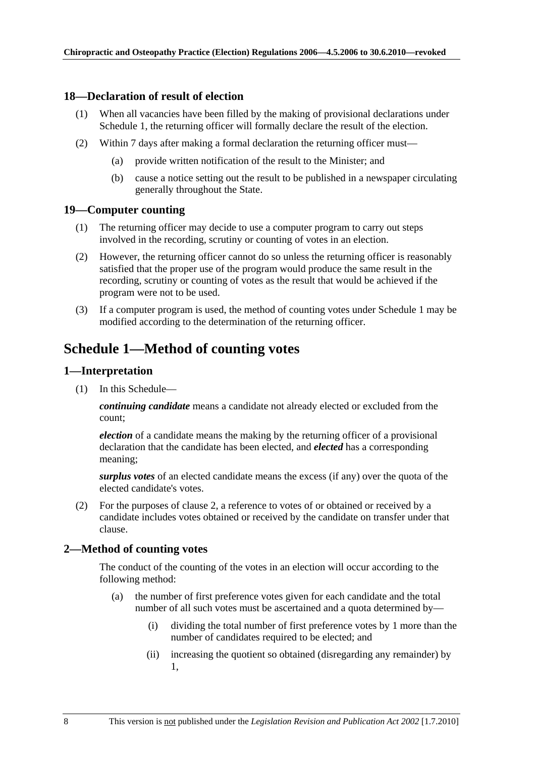### **18—Declaration of result of election**

- (1) When all vacancies have been filled by the making of provisional declarations under Schedule 1, the returning officer will formally declare the result of the election.
- (2) Within 7 days after making a formal declaration the returning officer must—
	- (a) provide written notification of the result to the Minister; and
	- (b) cause a notice setting out the result to be published in a newspaper circulating generally throughout the State.

#### **19—Computer counting**

- (1) The returning officer may decide to use a computer program to carry out steps involved in the recording, scrutiny or counting of votes in an election.
- (2) However, the returning officer cannot do so unless the returning officer is reasonably satisfied that the proper use of the program would produce the same result in the recording, scrutiny or counting of votes as the result that would be achieved if the program were not to be used.
- (3) If a computer program is used, the method of counting votes under Schedule 1 may be modified according to the determination of the returning officer.

# **Schedule 1—Method of counting votes**

### **1—Interpretation**

(1) In this Schedule—

*continuing candidate* means a candidate not already elected or excluded from the count;

*election* of a candidate means the making by the returning officer of a provisional declaration that the candidate has been elected, and *elected* has a corresponding meaning;

*surplus votes* of an elected candidate means the excess (if any) over the quota of the elected candidate's votes.

 (2) For the purposes of clause 2, a reference to votes of or obtained or received by a candidate includes votes obtained or received by the candidate on transfer under that clause.

## **2—Method of counting votes**

The conduct of the counting of the votes in an election will occur according to the following method:

- (a) the number of first preference votes given for each candidate and the total number of all such votes must be ascertained and a quota determined by—
	- (i) dividing the total number of first preference votes by 1 more than the number of candidates required to be elected; and
	- (ii) increasing the quotient so obtained (disregarding any remainder) by 1,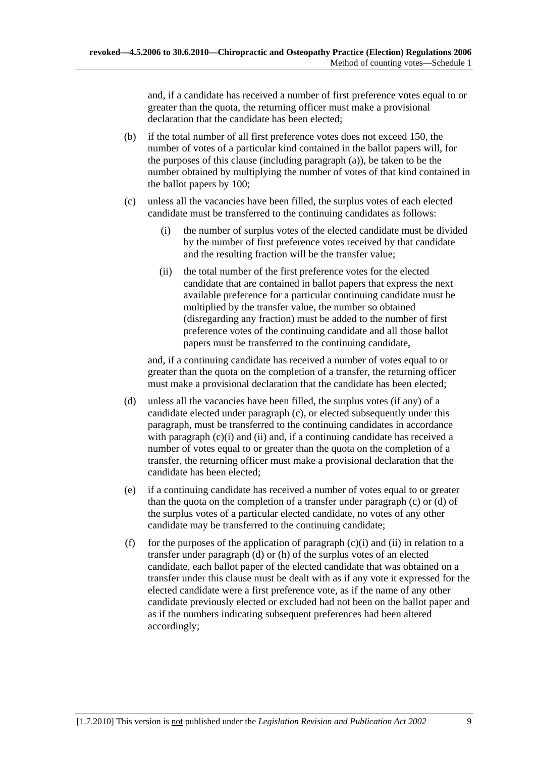and, if a candidate has received a number of first preference votes equal to or greater than the quota, the returning officer must make a provisional declaration that the candidate has been elected;

- (b) if the total number of all first preference votes does not exceed 150, the number of votes of a particular kind contained in the ballot papers will, for the purposes of this clause (including paragraph (a)), be taken to be the number obtained by multiplying the number of votes of that kind contained in the ballot papers by 100;
- (c) unless all the vacancies have been filled, the surplus votes of each elected candidate must be transferred to the continuing candidates as follows:
	- (i) the number of surplus votes of the elected candidate must be divided by the number of first preference votes received by that candidate and the resulting fraction will be the transfer value;
	- (ii) the total number of the first preference votes for the elected candidate that are contained in ballot papers that express the next available preference for a particular continuing candidate must be multiplied by the transfer value, the number so obtained (disregarding any fraction) must be added to the number of first preference votes of the continuing candidate and all those ballot papers must be transferred to the continuing candidate,

and, if a continuing candidate has received a number of votes equal to or greater than the quota on the completion of a transfer, the returning officer must make a provisional declaration that the candidate has been elected;

- (d) unless all the vacancies have been filled, the surplus votes (if any) of a candidate elected under paragraph (c), or elected subsequently under this paragraph, must be transferred to the continuing candidates in accordance with paragraph (c)(i) and (ii) and, if a continuing candidate has received a number of votes equal to or greater than the quota on the completion of a transfer, the returning officer must make a provisional declaration that the candidate has been elected;
- (e) if a continuing candidate has received a number of votes equal to or greater than the quota on the completion of a transfer under paragraph (c) or (d) of the surplus votes of a particular elected candidate, no votes of any other candidate may be transferred to the continuing candidate;
- (f) for the purposes of the application of paragraph  $(c)(i)$  and  $(ii)$  in relation to a transfer under paragraph (d) or (h) of the surplus votes of an elected candidate, each ballot paper of the elected candidate that was obtained on a transfer under this clause must be dealt with as if any vote it expressed for the elected candidate were a first preference vote, as if the name of any other candidate previously elected or excluded had not been on the ballot paper and as if the numbers indicating subsequent preferences had been altered accordingly;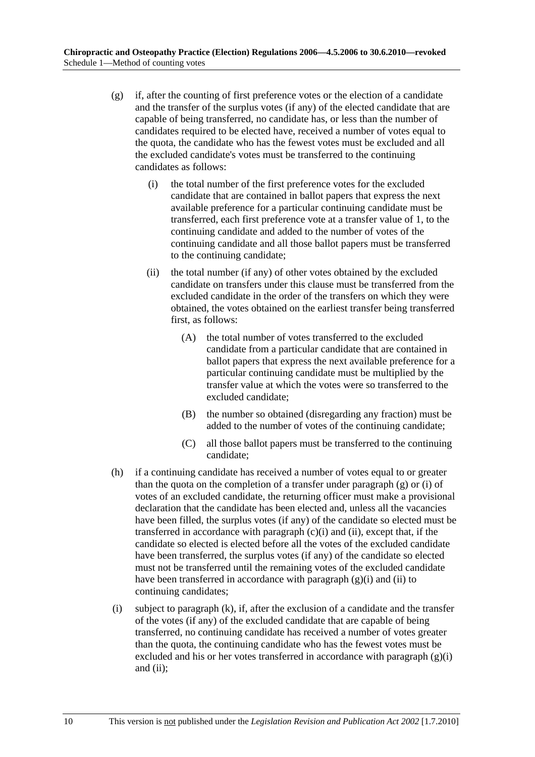- (g) if, after the counting of first preference votes or the election of a candidate and the transfer of the surplus votes (if any) of the elected candidate that are capable of being transferred, no candidate has, or less than the number of candidates required to be elected have, received a number of votes equal to the quota, the candidate who has the fewest votes must be excluded and all the excluded candidate's votes must be transferred to the continuing candidates as follows:
	- (i) the total number of the first preference votes for the excluded candidate that are contained in ballot papers that express the next available preference for a particular continuing candidate must be transferred, each first preference vote at a transfer value of 1, to the continuing candidate and added to the number of votes of the continuing candidate and all those ballot papers must be transferred to the continuing candidate;
	- (ii) the total number (if any) of other votes obtained by the excluded candidate on transfers under this clause must be transferred from the excluded candidate in the order of the transfers on which they were obtained, the votes obtained on the earliest transfer being transferred first, as follows:
		- (A) the total number of votes transferred to the excluded candidate from a particular candidate that are contained in ballot papers that express the next available preference for a particular continuing candidate must be multiplied by the transfer value at which the votes were so transferred to the excluded candidate;
		- (B) the number so obtained (disregarding any fraction) must be added to the number of votes of the continuing candidate;
		- (C) all those ballot papers must be transferred to the continuing candidate;
- (h) if a continuing candidate has received a number of votes equal to or greater than the quota on the completion of a transfer under paragraph (g) or (i) of votes of an excluded candidate, the returning officer must make a provisional declaration that the candidate has been elected and, unless all the vacancies have been filled, the surplus votes (if any) of the candidate so elected must be transferred in accordance with paragraph  $(c)(i)$  and  $(ii)$ , except that, if the candidate so elected is elected before all the votes of the excluded candidate have been transferred, the surplus votes (if any) of the candidate so elected must not be transferred until the remaining votes of the excluded candidate have been transferred in accordance with paragraph  $(g)(i)$  and  $(ii)$  to continuing candidates;
- (i) subject to paragraph (k), if, after the exclusion of a candidate and the transfer of the votes (if any) of the excluded candidate that are capable of being transferred, no continuing candidate has received a number of votes greater than the quota, the continuing candidate who has the fewest votes must be excluded and his or her votes transferred in accordance with paragraph  $(g)(i)$ and  $(ii)$ ;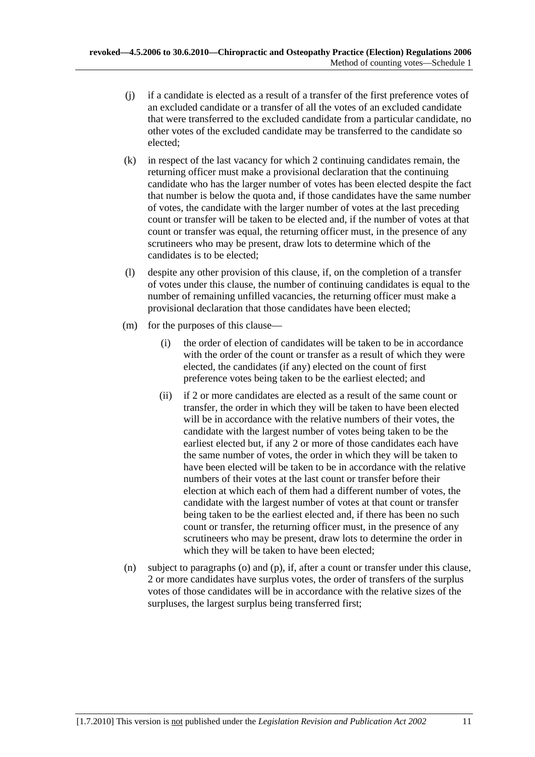- (j) if a candidate is elected as a result of a transfer of the first preference votes of an excluded candidate or a transfer of all the votes of an excluded candidate that were transferred to the excluded candidate from a particular candidate, no other votes of the excluded candidate may be transferred to the candidate so elected;
- (k) in respect of the last vacancy for which 2 continuing candidates remain, the returning officer must make a provisional declaration that the continuing candidate who has the larger number of votes has been elected despite the fact that number is below the quota and, if those candidates have the same number of votes, the candidate with the larger number of votes at the last preceding count or transfer will be taken to be elected and, if the number of votes at that count or transfer was equal, the returning officer must, in the presence of any scrutineers who may be present, draw lots to determine which of the candidates is to be elected;
- (l) despite any other provision of this clause, if, on the completion of a transfer of votes under this clause, the number of continuing candidates is equal to the number of remaining unfilled vacancies, the returning officer must make a provisional declaration that those candidates have been elected;
- (m) for the purposes of this clause—
	- (i) the order of election of candidates will be taken to be in accordance with the order of the count or transfer as a result of which they were elected, the candidates (if any) elected on the count of first preference votes being taken to be the earliest elected; and
	- (ii) if 2 or more candidates are elected as a result of the same count or transfer, the order in which they will be taken to have been elected will be in accordance with the relative numbers of their votes, the candidate with the largest number of votes being taken to be the earliest elected but, if any 2 or more of those candidates each have the same number of votes, the order in which they will be taken to have been elected will be taken to be in accordance with the relative numbers of their votes at the last count or transfer before their election at which each of them had a different number of votes, the candidate with the largest number of votes at that count or transfer being taken to be the earliest elected and, if there has been no such count or transfer, the returning officer must, in the presence of any scrutineers who may be present, draw lots to determine the order in which they will be taken to have been elected;
- (n) subject to paragraphs (o) and (p), if, after a count or transfer under this clause, 2 or more candidates have surplus votes, the order of transfers of the surplus votes of those candidates will be in accordance with the relative sizes of the surpluses, the largest surplus being transferred first;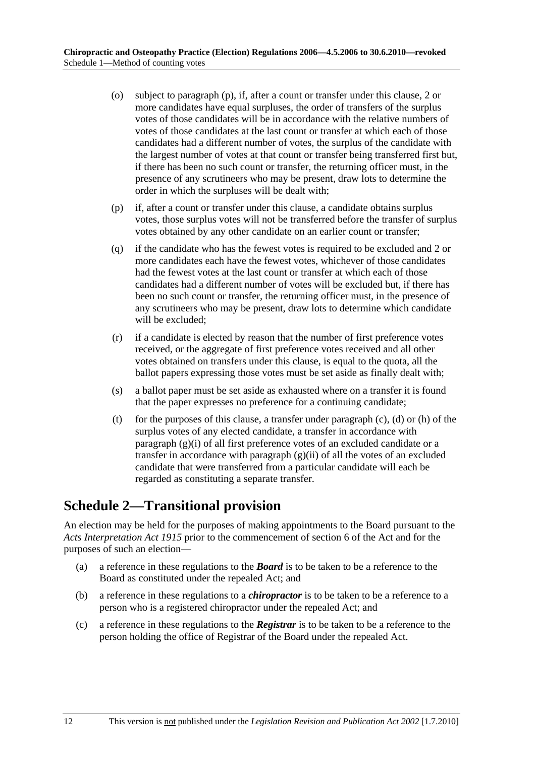- (o) subject to paragraph (p), if, after a count or transfer under this clause, 2 or more candidates have equal surpluses, the order of transfers of the surplus votes of those candidates will be in accordance with the relative numbers of votes of those candidates at the last count or transfer at which each of those candidates had a different number of votes, the surplus of the candidate with the largest number of votes at that count or transfer being transferred first but, if there has been no such count or transfer, the returning officer must, in the presence of any scrutineers who may be present, draw lots to determine the order in which the surpluses will be dealt with;
- (p) if, after a count or transfer under this clause, a candidate obtains surplus votes, those surplus votes will not be transferred before the transfer of surplus votes obtained by any other candidate on an earlier count or transfer;
- (q) if the candidate who has the fewest votes is required to be excluded and 2 or more candidates each have the fewest votes, whichever of those candidates had the fewest votes at the last count or transfer at which each of those candidates had a different number of votes will be excluded but, if there has been no such count or transfer, the returning officer must, in the presence of any scrutineers who may be present, draw lots to determine which candidate will be excluded;
- (r) if a candidate is elected by reason that the number of first preference votes received, or the aggregate of first preference votes received and all other votes obtained on transfers under this clause, is equal to the quota, all the ballot papers expressing those votes must be set aside as finally dealt with;
- (s) a ballot paper must be set aside as exhausted where on a transfer it is found that the paper expresses no preference for a continuing candidate;
- (t) for the purposes of this clause, a transfer under paragraph  $(c)$ ,  $(d)$  or  $(h)$  of the surplus votes of any elected candidate, a transfer in accordance with paragraph (g)(i) of all first preference votes of an excluded candidate or a transfer in accordance with paragraph  $(g)(ii)$  of all the votes of an excluded candidate that were transferred from a particular candidate will each be regarded as constituting a separate transfer.

# **Schedule 2—Transitional provision**

An election may be held for the purposes of making appointments to the Board pursuant to the *Acts Interpretation Act 1915* prior to the commencement of section 6 of the Act and for the purposes of such an election—

- (a) a reference in these regulations to the *Board* is to be taken to be a reference to the Board as constituted under the repealed Act; and
- (b) a reference in these regulations to a *chiropractor* is to be taken to be a reference to a person who is a registered chiropractor under the repealed Act; and
- (c) a reference in these regulations to the *Registrar* is to be taken to be a reference to the person holding the office of Registrar of the Board under the repealed Act.